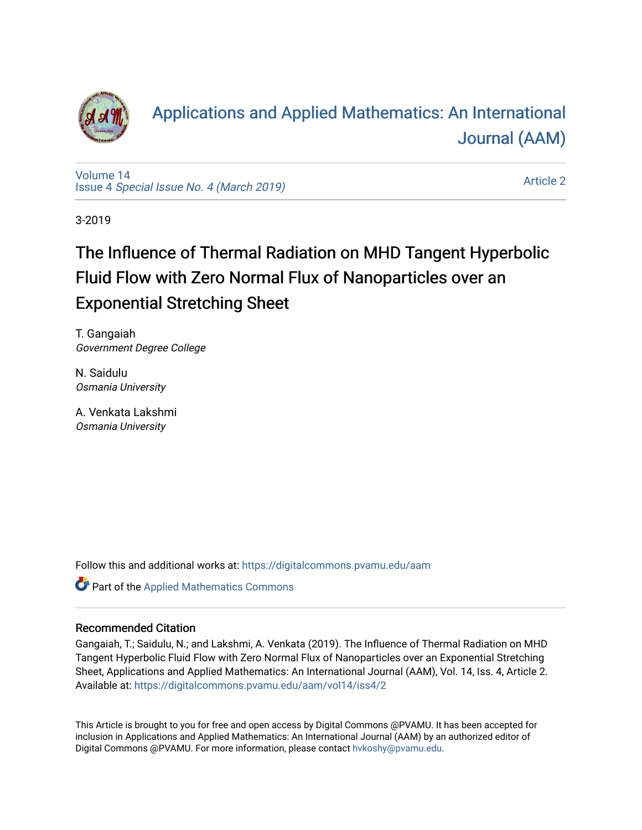

# [Applications and Applied Mathematics: An International](https://digitalcommons.pvamu.edu/aam)  [Journal \(AAM\)](https://digitalcommons.pvamu.edu/aam)

[Volume 14](https://digitalcommons.pvamu.edu/aam/vol14) Issue 4 [Special Issue No. 4 \(March 2019\)](https://digitalcommons.pvamu.edu/aam/vol14/iss4) 

[Article 2](https://digitalcommons.pvamu.edu/aam/vol14/iss4/2) 

3-2019

# The Influence of Thermal Radiation on MHD Tangent Hyperbolic Fluid Flow with Zero Normal Flux of Nanoparticles over an Exponential Stretching Sheet

T. Gangaiah Government Degree College

N. Saidulu Osmania University

A. Venkata Lakshmi Osmania University

Follow this and additional works at: [https://digitalcommons.pvamu.edu/aam](https://digitalcommons.pvamu.edu/aam?utm_source=digitalcommons.pvamu.edu%2Faam%2Fvol14%2Fiss4%2F2&utm_medium=PDF&utm_campaign=PDFCoverPages) 

Part of the [Applied Mathematics Commons](http://network.bepress.com/hgg/discipline/115?utm_source=digitalcommons.pvamu.edu%2Faam%2Fvol14%2Fiss4%2F2&utm_medium=PDF&utm_campaign=PDFCoverPages)

### Recommended Citation

Gangaiah, T.; Saidulu, N.; and Lakshmi, A. Venkata (2019). The Influence of Thermal Radiation on MHD Tangent Hyperbolic Fluid Flow with Zero Normal Flux of Nanoparticles over an Exponential Stretching Sheet, Applications and Applied Mathematics: An International Journal (AAM), Vol. 14, Iss. 4, Article 2. Available at: [https://digitalcommons.pvamu.edu/aam/vol14/iss4/2](https://digitalcommons.pvamu.edu/aam/vol14/iss4/2?utm_source=digitalcommons.pvamu.edu%2Faam%2Fvol14%2Fiss4%2F2&utm_medium=PDF&utm_campaign=PDFCoverPages) 

This Article is brought to you for free and open access by Digital Commons @PVAMU. It has been accepted for inclusion in Applications and Applied Mathematics: An International Journal (AAM) by an authorized editor of Digital Commons @PVAMU. For more information, please contact [hvkoshy@pvamu.edu.](mailto:hvkoshy@pvamu.edu)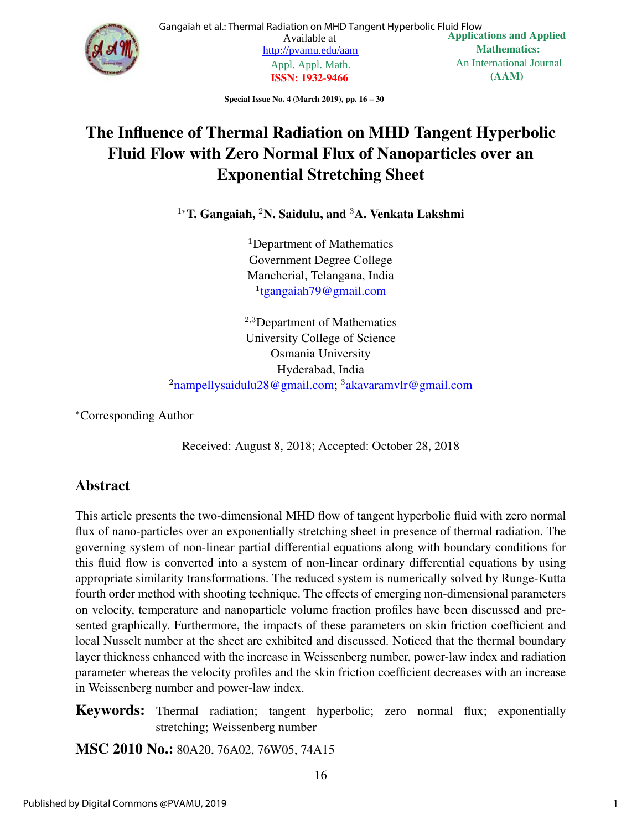

Special Issue No. 4 (March 2019), pp. 16 – 30

# The Influence of Thermal Radiation on MHD Tangent Hyperbolic Fluid Flow with Zero Normal Flux of Nanoparticles over an Exponential Stretching Sheet

 $1*$ T. Gangaiah, <sup>2</sup>N. Saidulu, and <sup>3</sup>A. Venkata Lakshmi

<sup>1</sup>Department of Mathematics Government Degree College Mancherial, Telangana, India 1 tgangaiah79@gmail.com

<sup>2</sup>,<sup>3</sup>Department of Mathematics University College of Science Osmania University Hyderabad, India <sup>2</sup>nampellysaidulu28@gmail.com; <sup>3</sup>akavaramvlr@gmail.com

<sup>∗</sup>Corresponding Author

Received: August 8, 2018; Accepted: October 28, 2018

# Abstract

This article presents the two-dimensional MHD flow of tangent hyperbolic fluid with zero normal flux of nano-particles over an exponentially stretching sheet in presence of thermal radiation. The governing system of non-linear partial differential equations along with boundary conditions for this fluid flow is converted into a system of non-linear ordinary differential equations by using appropriate similarity transformations. The reduced system is numerically solved by Runge-Kutta fourth order method with shooting technique. The effects of emerging non-dimensional parameters on velocity, temperature and nanoparticle volume fraction profiles have been discussed and presented graphically. Furthermore, the impacts of these parameters on skin friction coefficient and local Nusselt number at the sheet are exhibited and discussed. Noticed that the thermal boundary layer thickness enhanced with the increase in Weissenberg number, power-law index and radiation parameter whereas the velocity profiles and the skin friction coefficient decreases with an increase in Weissenberg number and power-law index.

**Keywords:** Thermal radiation; tangent hyperbolic; zero normal flux; exponentially stretching; Weissenberg number

MSC 2010 No.: 80A20, 76A02, 76W05, 74A15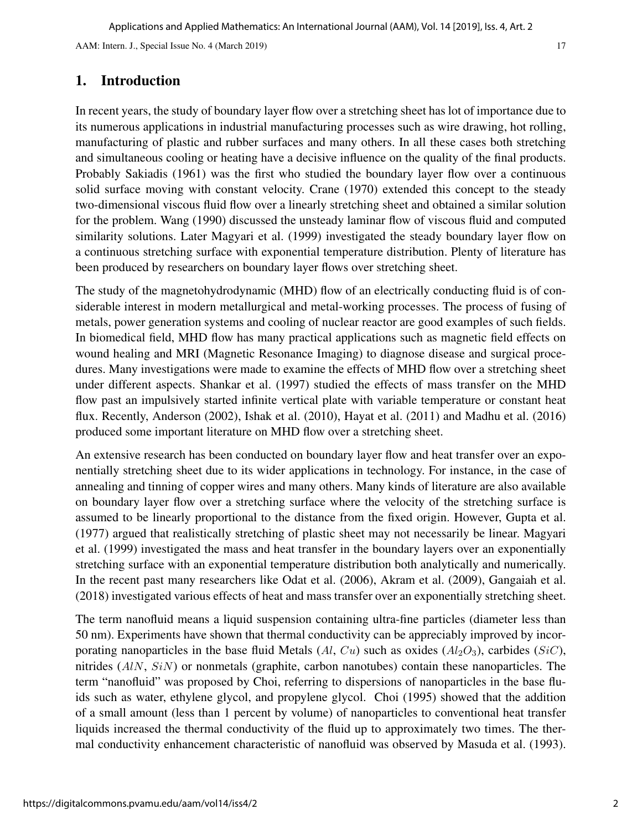#### 1. Introduction

In recent years, the study of boundary layer flow over a stretching sheet has lot of importance due to its numerous applications in industrial manufacturing processes such as wire drawing, hot rolling, manufacturing of plastic and rubber surfaces and many others. In all these cases both stretching and simultaneous cooling or heating have a decisive influence on the quality of the final products. Probably Sakiadis (1961) was the first who studied the boundary layer flow over a continuous solid surface moving with constant velocity. Crane (1970) extended this concept to the steady two-dimensional viscous fluid flow over a linearly stretching sheet and obtained a similar solution for the problem. Wang (1990) discussed the unsteady laminar flow of viscous fluid and computed similarity solutions. Later Magyari et al. (1999) investigated the steady boundary layer flow on a continuous stretching surface with exponential temperature distribution. Plenty of literature has been produced by researchers on boundary layer flows over stretching sheet.

The study of the magnetohydrodynamic (MHD) flow of an electrically conducting fluid is of considerable interest in modern metallurgical and metal-working processes. The process of fusing of metals, power generation systems and cooling of nuclear reactor are good examples of such fields. In biomedical field, MHD flow has many practical applications such as magnetic field effects on wound healing and MRI (Magnetic Resonance Imaging) to diagnose disease and surgical procedures. Many investigations were made to examine the effects of MHD flow over a stretching sheet under different aspects. Shankar et al. (1997) studied the effects of mass transfer on the MHD flow past an impulsively started infinite vertical plate with variable temperature or constant heat flux. Recently, Anderson (2002), Ishak et al. (2010), Hayat et al. (2011) and Madhu et al. (2016) produced some important literature on MHD flow over a stretching sheet.

An extensive research has been conducted on boundary layer flow and heat transfer over an exponentially stretching sheet due to its wider applications in technology. For instance, in the case of annealing and tinning of copper wires and many others. Many kinds of literature are also available on boundary layer flow over a stretching surface where the velocity of the stretching surface is assumed to be linearly proportional to the distance from the fixed origin. However, Gupta et al. (1977) argued that realistically stretching of plastic sheet may not necessarily be linear. Magyari et al. (1999) investigated the mass and heat transfer in the boundary layers over an exponentially stretching surface with an exponential temperature distribution both analytically and numerically. In the recent past many researchers like Odat et al. (2006), Akram et al. (2009), Gangaiah et al. (2018) investigated various effects of heat and mass transfer over an exponentially stretching sheet.

The term nanofluid means a liquid suspension containing ultra-fine particles (diameter less than 50 nm). Experiments have shown that thermal conductivity can be appreciably improved by incorporating nanoparticles in the base fluid Metals  $(Al, Cu)$  such as oxides  $(Al<sub>2</sub>O<sub>3</sub>)$ , carbides  $(SiC)$ , nitrides (AlN, SiN) or nonmetals (graphite, carbon nanotubes) contain these nanoparticles. The term "nanofluid" was proposed by Choi, referring to dispersions of nanoparticles in the base fluids such as water, ethylene glycol, and propylene glycol. Choi (1995) showed that the addition of a small amount (less than 1 percent by volume) of nanoparticles to conventional heat transfer liquids increased the thermal conductivity of the fluid up to approximately two times. The thermal conductivity enhancement characteristic of nanofluid was observed by Masuda et al. (1993).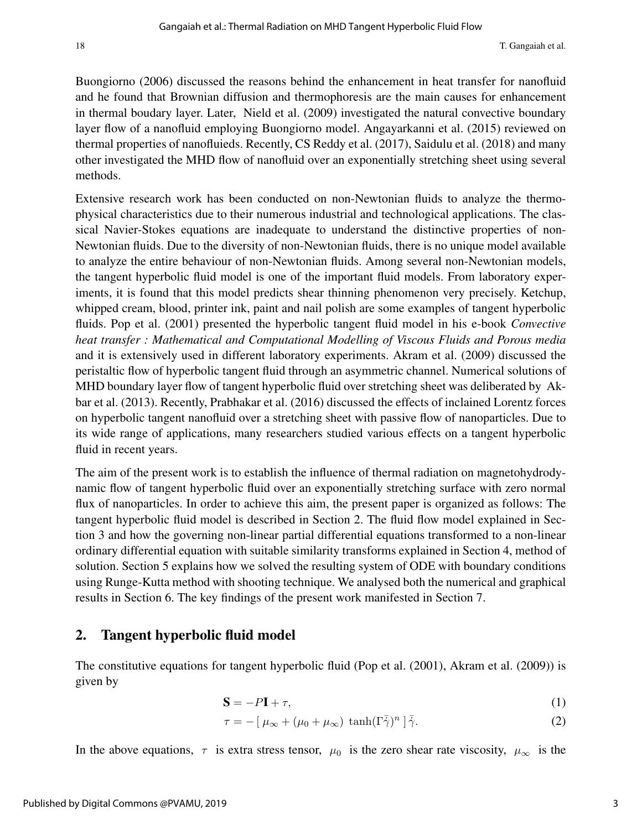Buongiorno (2006) discussed the reasons behind the enhancement in heat transfer for nanofluid and he found that Brownian diffusion and thermophoresis are the main causes for enhancement in thermal boudary layer. Later, Nield et al. (2009) investigated the natural convective boundary layer flow of a nanofluid employing Buongiorno model. Angayarkanni et al. (2015) reviewed on thermal properties of nanofluieds. Recently, CS Reddy et al. (2017), Saidulu et al. (2018) and many other investigated the MHD flow of nanofluid over an exponentially stretching sheet using several methods.

Extensive research work has been conducted on non-Newtonian fluids to analyze the thermophysical characteristics due to their numerous industrial and technological applications. The classical Navier-Stokes equations are inadequate to understand the distinctive properties of non-Newtonian fluids. Due to the diversity of non-Newtonian fluids, there is no unique model available to analyze the entire behaviour of non-Newtonian fluids. Among several non-Newtonian models, the tangent hyperbolic fluid model is one of the important fluid models. From laboratory experiments, it is found that this model predicts shear thinning phenomenon very precisely. Ketchup, whipped cream, blood, printer ink, paint and nail polish are some examples of tangent hyperbolic fluids. Pop et al. (2001) presented the hyperbolic tangent fluid model in his e-book *Convective heat transfer : Mathematical and Computational Modelling of Viscous Fluids and Porous media* and it is extensively used in different laboratory experiments. Akram et al. (2009) discussed the peristaltic flow of hyperbolic tangent fluid through an asymmetric channel. Numerical solutions of MHD boundary layer flow of tangent hyperbolic fluid over stretching sheet was deliberated by Akbar et al. (2013). Recently, Prabhakar et al. (2016) discussed the effects of inclained Lorentz forces on hyperbolic tangent nanofluid over a stretching sheet with passive flow of nanoparticles. Due to its wide range of applications, many researchers studied various effects on a tangent hyperbolic fluid in recent years.

The aim of the present work is to establish the influence of thermal radiation on magnetohydrodynamic flow of tangent hyperbolic fluid over an exponentially stretching surface with zero normal flux of nanoparticles. In order to achieve this aim, the present paper is organized as follows: The tangent hyperbolic fluid model is described in Section 2. The fluid flow model explained in Section 3 and how the governing non-linear partial differential equations transformed to a non-linear ordinary differential equation with suitable similarity transforms explained in Section 4, method of solution. Section 5 explains how we solved the resulting system of ODE with boundary conditions using Runge-Kutta method with shooting technique. We analysed both the numerical and graphical results in Section 6. The key findings of the present work manifested in Section 7.

#### 2. Tangent hyperbolic fluid model

The constitutive equations for tangent hyperbolic fluid (Pop et al. (2001), Akram et al. (2009)) is given by

$$
\mathbf{S} = -P\mathbf{I} + \tau,\tag{1}
$$

$$
\tau = -\left[\mu_{\infty} + (\mu_0 + \mu_{\infty}) \tanh(\Gamma \bar{\dot{\gamma}})^n\right] \bar{\dot{\gamma}}.
$$
 (2)

In the above equations,  $\tau$  is extra stress tensor,  $\mu_0$  is the zero shear rate viscosity,  $\mu_{\infty}$  is the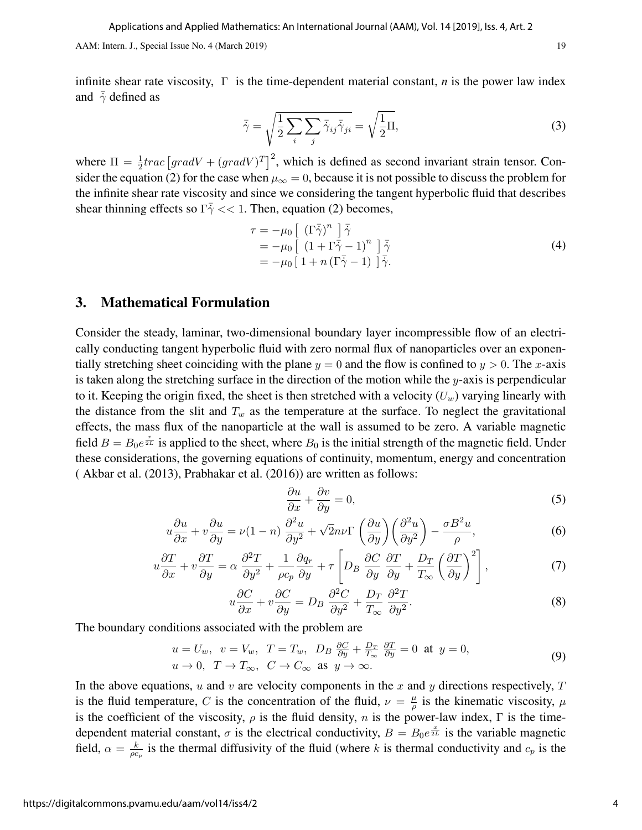infinite shear rate viscosity, Γ is the time-dependent material constant, *n* is the power law index and  $\bar{\dot{\gamma}}$  defined as

$$
\bar{\dot{\gamma}} = \sqrt{\frac{1}{2} \sum_{i} \sum_{j} \bar{\dot{\gamma}}_{ij} \bar{\dot{\gamma}}_{ji}} = \sqrt{\frac{1}{2} \Pi},\tag{3}
$$

where  $\Pi = \frac{1}{2} trac \left[ gradV + (gradV)^T \right]^2$ , which is defined as second invariant strain tensor. Consider the equation (2) for the case when  $\mu_{\infty} = 0$ , because it is not possible to discuss the problem for the infinite shear rate viscosity and since we considering the tangent hyperbolic fluid that describes shear thinning effects so  $\overline{\Gamma}_{\gamma}^{\overline{\gamma}} << 1$ . Then, equation (2) becomes,

$$
\tau = -\mu_0 \left[ (\Gamma \bar{\dot{\gamma}})^n \right] \bar{\dot{\gamma}}
$$
  
=  $-\mu_0 \left[ (1 + \Gamma \bar{\dot{\gamma}} - 1)^n \right] \bar{\dot{\gamma}}$   
=  $-\mu_0 \left[ 1 + n (\Gamma \bar{\dot{\gamma}} - 1) \right] \bar{\dot{\gamma}}.$  (4)

#### 3. Mathematical Formulation

Consider the steady, laminar, two-dimensional boundary layer incompressible flow of an electrically conducting tangent hyperbolic fluid with zero normal flux of nanoparticles over an exponentially stretching sheet coinciding with the plane  $y = 0$  and the flow is confined to  $y > 0$ . The x-axis is taken along the stretching surface in the direction of the motion while the y-axis is perpendicular to it. Keeping the origin fixed, the sheet is then stretched with a velocity  $(U_w)$  varying linearly with the distance from the slit and  $T_w$  as the temperature at the surface. To neglect the gravitational effects, the mass flux of the nanoparticle at the wall is assumed to be zero. A variable magnetic field  $B = B_0 e^{\frac{x}{2L}}$  is applied to the sheet, where  $B_0$  is the initial strength of the magnetic field. Under these considerations, the governing equations of continuity, momentum, energy and concentration ( Akbar et al. (2013), Prabhakar et al. (2016)) are written as follows:

$$
\frac{\partial u}{\partial x} + \frac{\partial v}{\partial y} = 0,\t\t(5)
$$

$$
u\frac{\partial u}{\partial x} + v\frac{\partial u}{\partial y} = \nu(1 - n)\frac{\partial^2 u}{\partial y^2} + \sqrt{2}n\nu\Gamma\left(\frac{\partial u}{\partial y}\right)\left(\frac{\partial^2 u}{\partial y^2}\right) - \frac{\sigma B^2 u}{\rho},\tag{6}
$$

$$
u\frac{\partial T}{\partial x} + v\frac{\partial T}{\partial y} = \alpha \frac{\partial^2 T}{\partial y^2} + \frac{1}{\rho c_p} \frac{\partial q_r}{\partial y} + \tau \left[ D_B \frac{\partial C}{\partial y} \frac{\partial T}{\partial y} + \frac{D_T}{T_{\infty}} \left( \frac{\partial T}{\partial y} \right)^2 \right],
$$
(7)

$$
u\frac{\partial C}{\partial x} + v\frac{\partial C}{\partial y} = D_B \frac{\partial^2 C}{\partial y^2} + \frac{D_T}{T_{\infty}} \frac{\partial^2 T}{\partial y^2}.
$$
 (8)

The boundary conditions associated with the problem are

$$
u = U_w, \quad v = V_w, \quad T = T_w, \quad D_B \frac{\partial C}{\partial y} + \frac{D_T}{T_\infty} \frac{\partial T}{\partial y} = 0 \quad \text{at} \quad y = 0,
$$
  

$$
u \to 0, \quad T \to T_\infty, \quad C \to C_\infty \quad \text{as} \quad y \to \infty.
$$
 (9)

In the above equations, u and v are velocity components in the x and y directions respectively,  $T$ is the fluid temperature, C is the concentration of the fluid,  $\nu = \frac{\mu}{\rho}$  $\frac{\mu}{\rho}$  is the kinematic viscosity,  $\mu$ is the coefficient of the viscosity,  $\rho$  is the fluid density, n is the power-law index,  $\Gamma$  is the timedependent material constant,  $\sigma$  is the electrical conductivity,  $B = B_0 e^{\frac{x}{2L}}$  is the variable magnetic field,  $\alpha = \frac{k}{ac}$  $\frac{k}{\rho c_p}$  is the thermal diffusivity of the fluid (where k is thermal conductivity and  $c_p$  is the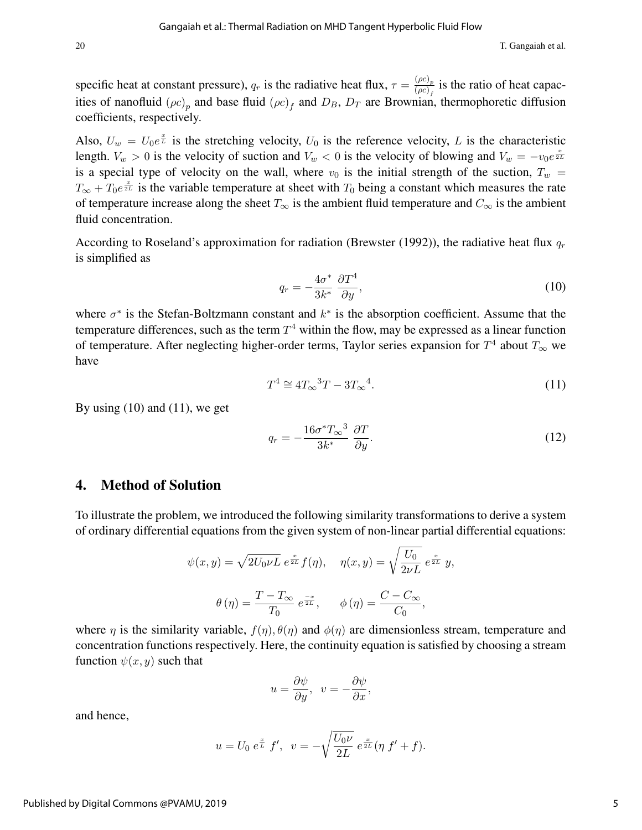20 T. Gangaiah et al.

specific heat at constant pressure),  $q_r$  is the radiative heat flux,  $\tau = \frac{(\rho c)_p}{(\rho c)}$ .  $\frac{(\rho c)_{p}}{(\rho c)_{f}}$  is the ratio of heat capacities of nanofluid  $(\rho c)_p$  and base fluid  $(\rho c)_f$  and  $D_B$ ,  $D_T$  are Brownian, thermophoretic diffusion coefficients, respectively.

Also,  $U_w = U_0 e^{\frac{x}{L}}$  is the stretching velocity,  $U_0$  is the reference velocity, L is the characteristic length.  $V_w > 0$  is the velocity of suction and  $V_w < 0$  is the velocity of blowing and  $V_w = -v_0e^{\frac{x}{2L}}$ is a special type of velocity on the wall, where  $v_0$  is the initial strength of the suction,  $T_w$  =  $T_{\infty} + T_0 e^{\frac{x}{2L}}$  is the variable temperature at sheet with  $T_0$  being a constant which measures the rate of temperature increase along the sheet  $T_{\infty}$  is the ambient fluid temperature and  $C_{\infty}$  is the ambient fluid concentration.

According to Roseland's approximation for radiation (Brewster (1992)), the radiative heat flux  $q_r$ is simplified as

$$
q_r = -\frac{4\sigma^*}{3k^*} \frac{\partial T^4}{\partial y},\tag{10}
$$

where  $\sigma^*$  is the Stefan-Boltzmann constant and  $k^*$  is the absorption coefficient. Assume that the temperature differences, such as the term  $T^4$  within the flow, may be expressed as a linear function of temperature. After neglecting higher-order terms, Taylor series expansion for  $T^4$  about  $T_{\infty}$  we have

$$
T^4 \cong 4T_{\infty}^3 T - 3T_{\infty}^4. \tag{11}
$$

By using  $(10)$  and  $(11)$ , we get

$$
q_r = -\frac{16\sigma^* T_\infty^3}{3k^*} \frac{\partial T}{\partial y}.
$$
\n(12)

#### 4. Method of Solution

To illustrate the problem, we introduced the following similarity transformations to derive a system of ordinary differential equations from the given system of non-linear partial differential equations:

$$
\psi(x,y) = \sqrt{2U_0\nu L} e^{\frac{x}{2L}} f(\eta), \quad \eta(x,y) = \sqrt{\frac{U_0}{2\nu L}} e^{\frac{x}{2L}} y,
$$

$$
\theta(\eta) = \frac{T - T_{\infty}}{T_0} e^{\frac{-x}{2L}}, \qquad \phi(\eta) = \frac{C - C_{\infty}}{C_0},
$$

where  $\eta$  is the similarity variable,  $f(\eta)$ ,  $\theta(\eta)$  and  $\phi(\eta)$  are dimensionless stream, temperature and concentration functions respectively. Here, the continuity equation is satisfied by choosing a stream function  $\psi(x, y)$  such that

$$
u = \frac{\partial \psi}{\partial y}, \ \ v = -\frac{\partial \psi}{\partial x},
$$

and hence,

$$
u = U_0 e^{\frac{x}{L}} f', \quad v = -\sqrt{\frac{U_0 \nu}{2L}} e^{\frac{x}{2L}} (\eta f' + f).
$$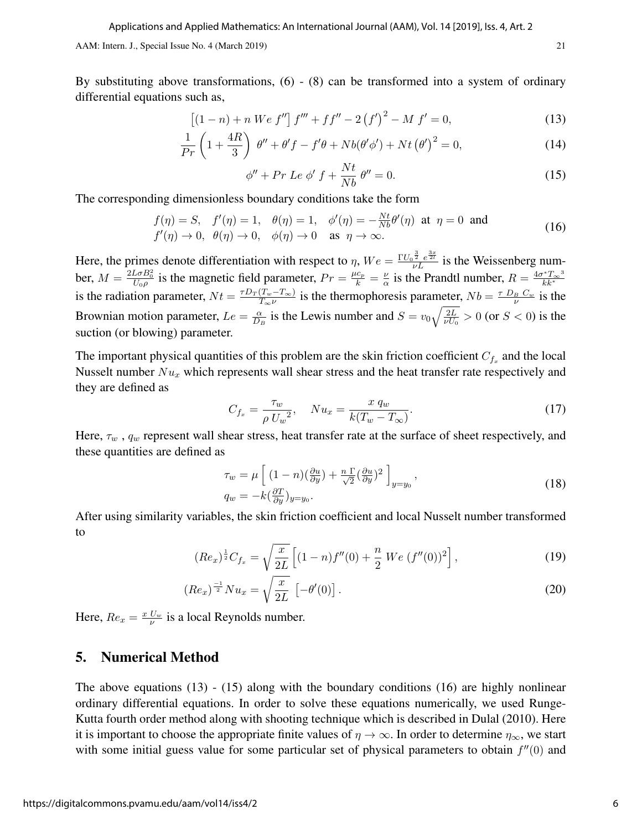By substituting above transformations,  $(6)$  -  $(8)$  can be transformed into a system of ordinary differential equations such as,

$$
[(1-n) + n \, We \, f''] \, f''' + ff'' - 2 \, (f')^2 - M \, f' = 0,\tag{13}
$$

$$
\frac{1}{Pr}\left(1+\frac{4R}{3}\right)\ \theta''+\theta'f-f'\theta+Nb(\theta'\phi')+Nt(\theta')^2=0,\tag{14}
$$

$$
\phi'' + Pr \, Le \, \phi' \, f + \frac{Nt}{Nb} \, \theta'' = 0. \tag{15}
$$

The corresponding dimensionless boundary conditions take the form

$$
f(\eta) = S, \quad f'(\eta) = 1, \quad \theta(\eta) = 1, \quad \phi'(\eta) = -\frac{Nt}{Nb}\theta'(\eta) \quad \text{at } \eta = 0 \text{ and}
$$
  

$$
f'(\eta) \to 0, \quad \theta(\eta) \to 0, \quad \phi(\eta) \to 0 \quad \text{as } \eta \to \infty.
$$
 (16)

Here, the primes denote differentiation with respect to  $\eta$ ,  $We = \frac{\Gamma U_0^{\frac{3}{2}} e^{\frac{3\pi}{2l}}}{\nu L}$  is the Weissenberg number,  $M = \frac{2L\sigma B_0^2}{U_0 \rho}$  is the magnetic field parameter,  $Pr = \frac{\mu c_p}{k} = \frac{\nu}{\alpha}$  $\frac{\nu}{\alpha}$  is the Prandtl number,  $R = \frac{4\sigma^* T_{\infty}^3}{kk^*}$ kk<sup>∗</sup> is the radiation parameter,  $Nt = \frac{\tau D_T (T_w - T_{\infty})}{T \mu}$  $\frac{(Tw-T_{\infty})}{T_{\infty}\nu}$  is the thermophoresis parameter,  $Nb = \frac{\tau D_B C_w}{\nu}$  is the Brownian motion parameter,  $Le = \frac{\alpha}{D}$  $\frac{\alpha}{D_B}$  is the Lewis number and  $S = v_0 \sqrt{\frac{2L}{\nu U_0}} > 0$  (or  $S < 0$ ) is the suction (or blowing) parameter.

The important physical quantities of this problem are the skin friction coefficient  $C_{f_x}$  and the local Nusselt number  $Nu_x$  which represents wall shear stress and the heat transfer rate respectively and they are defined as

$$
C_{f_x} = \frac{\tau_w}{\rho U_w^2}, \quad Nu_x = \frac{x \, q_w}{k(T_w - T_\infty)}.\tag{17}
$$

Here,  $\tau_w$ ,  $q_w$  represent wall shear stress, heat transfer rate at the surface of sheet respectively, and these quantities are defined as

$$
\tau_w = \mu \left[ (1 - n) (\frac{\partial u}{\partial y}) + \frac{n \Gamma}{\sqrt{2}} (\frac{\partial u}{\partial y})^2 \right]_{y = y_0},
$$
  
\n
$$
q_w = -k (\frac{\partial T}{\partial y})_{y = y_0}.
$$
\n(18)

After using similarity variables, the skin friction coefficient and local Nusselt number transformed to

$$
(Re_x)^{\frac{1}{2}}C_{f_x} = \sqrt{\frac{x}{2L}} \left[ (1-n)f''(0) + \frac{n}{2} \; We \; (f''(0))^2 \right],\tag{19}
$$

$$
(Re_x)^{\frac{-1}{2}} N u_x = \sqrt{\frac{x}{2L}} \left[ -\theta'(0) \right]. \tag{20}
$$

Here,  $Re_x = \frac{x U_w}{\nu}$  is a local Reynolds number.

## 5. Numerical Method

The above equations  $(13)$  -  $(15)$  along with the boundary conditions  $(16)$  are highly nonlinear ordinary differential equations. In order to solve these equations numerically, we used Runge-Kutta fourth order method along with shooting technique which is described in Dulal (2010). Here it is important to choose the appropriate finite values of  $\eta \to \infty$ . In order to determine  $\eta_{\infty}$ , we start with some initial guess value for some particular set of physical parameters to obtain  $f''(0)$  and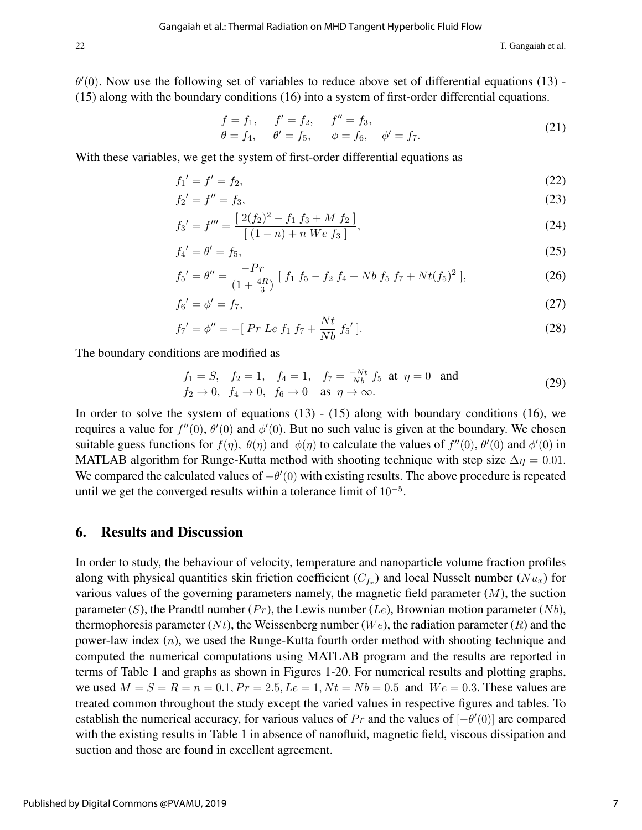22 T. Gangaiah et al.

 $\theta'(0)$ . Now use the following set of variables to reduce above set of differential equations (13) -(15) along with the boundary conditions (16) into a system of first-order differential equations.

$$
f = f_1,
$$
  $f' = f_2,$   $f'' = f_3,$   
\n $\theta = f_4,$   $\theta' = f_5,$   $\phi = f_6,$   $\phi' = f_7.$  (21)

With these variables, we get the system of first-order differential equations as

$$
f_1' = f' = f_2,\tag{22}
$$

$$
f_2' = f'' = f_3,\tag{23}
$$

$$
f_3' = f''' = \frac{[2(f_2)^2 - f_1 f_3 + M f_2]}{[(1 - n) + n We f_3]},
$$
\n(24)

$$
f_4' = \theta' = f_5,\tag{25}
$$

$$
f_5' = \theta'' = \frac{-Pr}{\left(1 + \frac{4R}{3}\right)} \left[ f_1 \ f_5 - f_2 \ f_4 + Nb \ f_5 \ f_7 + Nt(f_5)^2 \right],\tag{26}
$$

$$
f_6' = \phi' = f_7,\tag{27}
$$

$$
f_7' = \phi'' = -[Pr Le f_1 f_7 + \frac{Nt}{Nb} f_5'].
$$
 (28)

The boundary conditions are modified as

$$
f_1 = S
$$
,  $f_2 = 1$ ,  $f_4 = 1$ ,  $f_7 = \frac{-Nt}{Nb} f_5$  at  $\eta = 0$  and  
\n $f_2 \to 0$ ,  $f_4 \to 0$ ,  $f_6 \to 0$  as  $\eta \to \infty$ . (29)

In order to solve the system of equations  $(13)$  -  $(15)$  along with boundary conditions  $(16)$ , we requires a value for  $f''(0)$ ,  $\theta'(0)$  and  $\phi'(0)$ . But no such value is given at the boundary. We chosen suitable guess functions for  $f(\eta)$ ,  $\theta(\eta)$  and  $\phi(\eta)$  to calculate the values of  $f''(0)$ ,  $\theta'(0)$  and  $\phi'(0)$  in MATLAB algorithm for Runge-Kutta method with shooting technique with step size  $\Delta \eta = 0.01$ . We compared the calculated values of  $-\theta'(0)$  with existing results. The above procedure is repeated until we get the converged results within a tolerance limit of  $10^{-5}$ .

#### 6. Results and Discussion

In order to study, the behaviour of velocity, temperature and nanoparticle volume fraction profiles along with physical quantities skin friction coefficient  $(C_{f_x})$  and local Nusselt number  $(Nu_x)$  for various values of the governing parameters namely, the magnetic field parameter  $(M)$ , the suction parameter (S), the Prandtl number (Pr), the Lewis number (Le), Brownian motion parameter (Nb), thermophoresis parameter  $(Nt)$ , the Weissenberg number  $(We)$ , the radiation parameter  $(R)$  and the power-law index (n), we used the Runge-Kutta fourth order method with shooting technique and computed the numerical computations using MATLAB program and the results are reported in terms of Table 1 and graphs as shown in Figures 1-20. For numerical results and plotting graphs, we used  $M = S = R = n = 0.1, Pr = 2.5, Le = 1, Nt = Nb = 0.5$  and  $We = 0.3$ . These values are treated common throughout the study except the varied values in respective figures and tables. To establish the numerical accuracy, for various values of  $Pr$  and the values of  $[-\theta'(0)]$  are compared with the existing results in Table 1 in absence of nanofluid, magnetic field, viscous dissipation and suction and those are found in excellent agreement.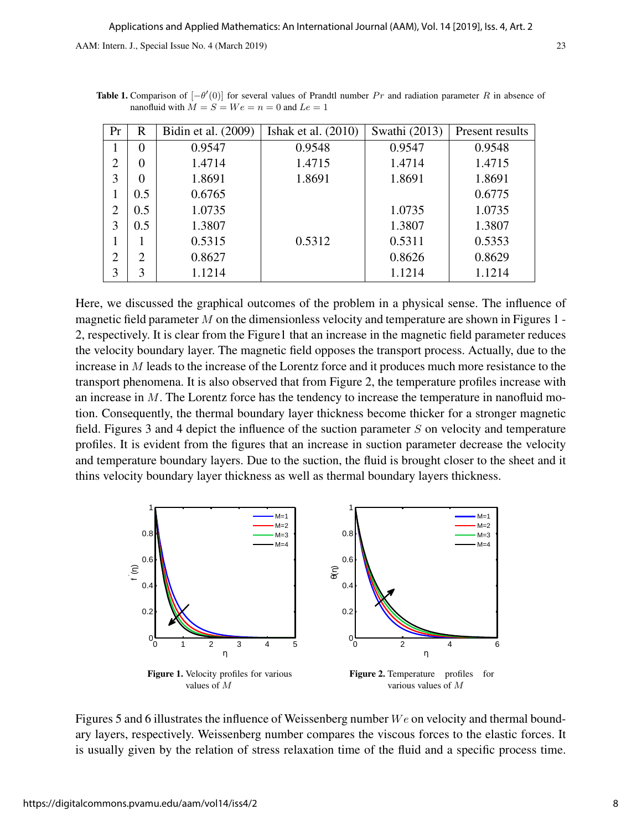| Pr             | R              | Bidin et al. (2009) | Ishak et al. $(2010)$ | Swathi (2013) | Present results |
|----------------|----------------|---------------------|-----------------------|---------------|-----------------|
|                | $\overline{0}$ | 0.9547              | 0.9548                | 0.9547        | 0.9548          |
| $\overline{2}$ | 0              | 1.4714              | 1.4715                | 1.4714        | 1.4715          |
| 3              | 0              | 1.8691              | 1.8691                | 1.8691        | 1.8691          |
|                | 0.5            | 0.6765              |                       |               | 0.6775          |
| $\overline{2}$ | 0.5            | 1.0735              |                       | 1.0735        | 1.0735          |
| 3              | 0.5            | 1.3807              |                       | 1.3807        | 1.3807          |
|                |                | 0.5315              | 0.5312                | 0.5311        | 0.5353          |
| 2              | $\overline{2}$ | 0.8627              |                       | 0.8626        | 0.8629          |
| 3              | 3              | 1.1214              |                       | 1.1214        | 1.1214          |

**Table 1.** Comparison of  $[-\theta'(0)]$  for several values of Prandtl number Pr and radiation parameter R in absence of nanofluid with  $M = S = We = n = 0$  and  $Le = 1$ 

Here, we discussed the graphical outcomes of the problem in a physical sense. The influence of magnetic field parameter  $M$  on the dimensionless velocity and temperature are shown in Figures 1 -2, respectively. It is clear from the Figure1 that an increase in the magnetic field parameter reduces the velocity boundary layer. The magnetic field opposes the transport process. Actually, due to the increase in M leads to the increase of the Lorentz force and it produces much more resistance to the transport phenomena. It is also observed that from Figure 2, the temperature profiles increase with an increase in M. The Lorentz force has the tendency to increase the temperature in nanofluid motion. Consequently, the thermal boundary layer thickness become thicker for a stronger magnetic field. Figures 3 and 4 depict the influence of the suction parameter  $S$  on velocity and temperature profiles. It is evident from the figures that an increase in suction parameter decrease the velocity and temperature boundary layers. Due to the suction, the fluid is brought closer to the sheet and it thins velocity boundary layer thickness as well as thermal boundary layers thickness.



Figures 5 and 6 illustrates the influence of Weissenberg number  $We$  on velocity and thermal boundary layers, respectively. Weissenberg number compares the viscous forces to the elastic forces. It is usually given by the relation of stress relaxation time of the fluid and a specific process time.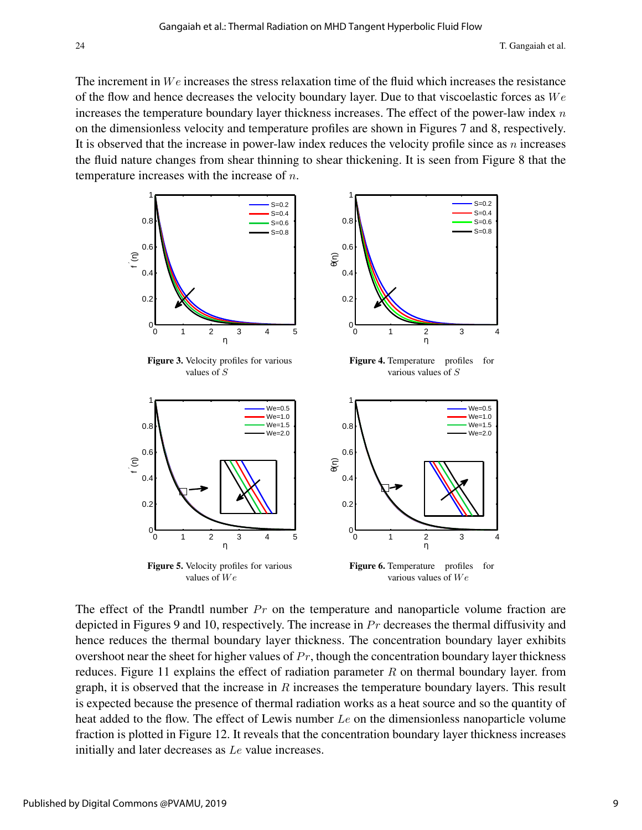The increment in  $We$  increases the stress relaxation time of the fluid which increases the resistance of the flow and hence decreases the velocity boundary layer. Due to that viscoelastic forces as  $We$ increases the temperature boundary layer thickness increases. The effect of the power-law index  $n$ on the dimensionless velocity and temperature profiles are shown in Figures 7 and 8, respectively. It is observed that the increase in power-law index reduces the velocity profile since as  $n$  increases the fluid nature changes from shear thinning to shear thickening. It is seen from Figure 8 that the temperature increases with the increase of n.



The effect of the Prandtl number  $Pr$  on the temperature and nanoparticle volume fraction are depicted in Figures 9 and 10, respectively. The increase in  $Pr$  decreases the thermal diffusivity and hence reduces the thermal boundary layer thickness. The concentration boundary layer exhibits overshoot near the sheet for higher values of  $Pr$ , though the concentration boundary layer thickness reduces. Figure 11 explains the effect of radiation parameter  $R$  on thermal boundary layer. from graph, it is observed that the increase in  $R$  increases the temperature boundary layers. This result is expected because the presence of thermal radiation works as a heat source and so the quantity of heat added to the flow. The effect of Lewis number Le on the dimensionless nanoparticle volume fraction is plotted in Figure 12. It reveals that the concentration boundary layer thickness increases initially and later decreases as Le value increases.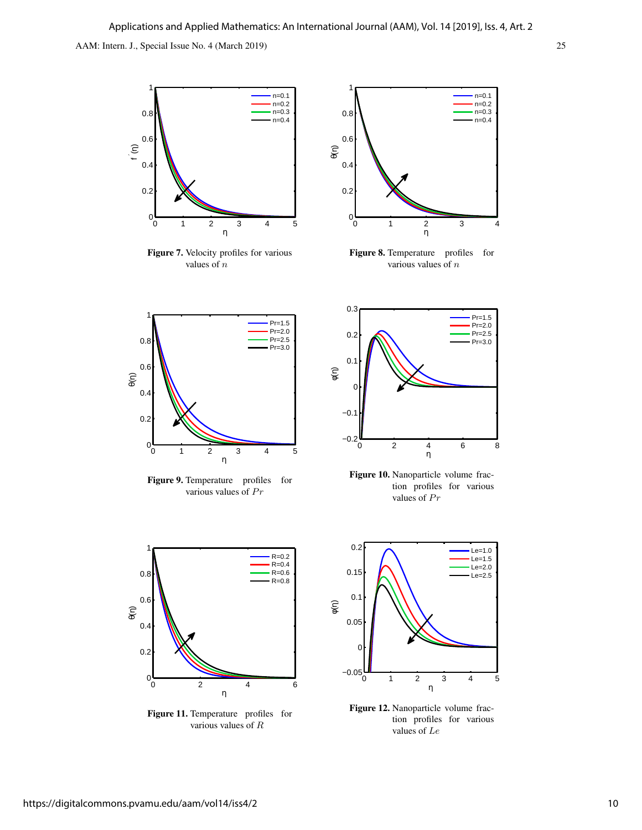

Figure 7. Velocity profiles for various values of  $n$ 



Figure 8. Temperature profiles for various values of n



Figure 9. Temperature profiles for various values of  $Pr$ 



Figure 10. Nanoparticle volume fraction profiles for various values of  $Pr$ 



Figure 11. Temperature profiles for various values of R



Figure 12. Nanoparticle volume fraction profiles for various values of Le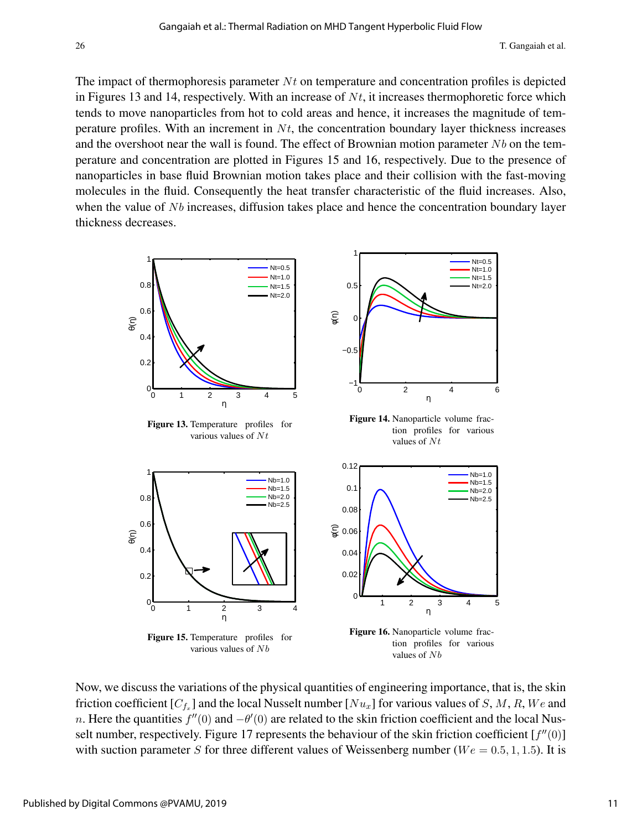The impact of thermophoresis parameter  $N_t$  on temperature and concentration profiles is depicted in Figures 13 and 14, respectively. With an increase of  $N_t$ , it increases thermophoretic force which tends to move nanoparticles from hot to cold areas and hence, it increases the magnitude of temperature profiles. With an increment in  $N_t$ , the concentration boundary layer thickness increases and the overshoot near the wall is found. The effect of Brownian motion parameter  $Nb$  on the temperature and concentration are plotted in Figures 15 and 16, respectively. Due to the presence of nanoparticles in base fluid Brownian motion takes place and their collision with the fast-moving molecules in the fluid. Consequently the heat transfer characteristic of the fluid increases. Also, when the value of  $Nb$  increases, diffusion takes place and hence the concentration boundary layer thickness decreases.



Now, we discuss the variations of the physical quantities of engineering importance, that is, the skin friction coefficient [ $C_{f_x}$ ] and the local Nusselt number [ $Nu_x$ ] for various values of S, M, R, We and n. Here the quantities  $f''(0)$  and  $-\theta'(0)$  are related to the skin friction coefficient and the local Nusselt number, respectively. Figure 17 represents the behaviour of the skin friction coefficient  $[f''(0)]$ with suction parameter S for three different values of Weissenberg number ( $We = 0.5, 1, 1.5$ ). It is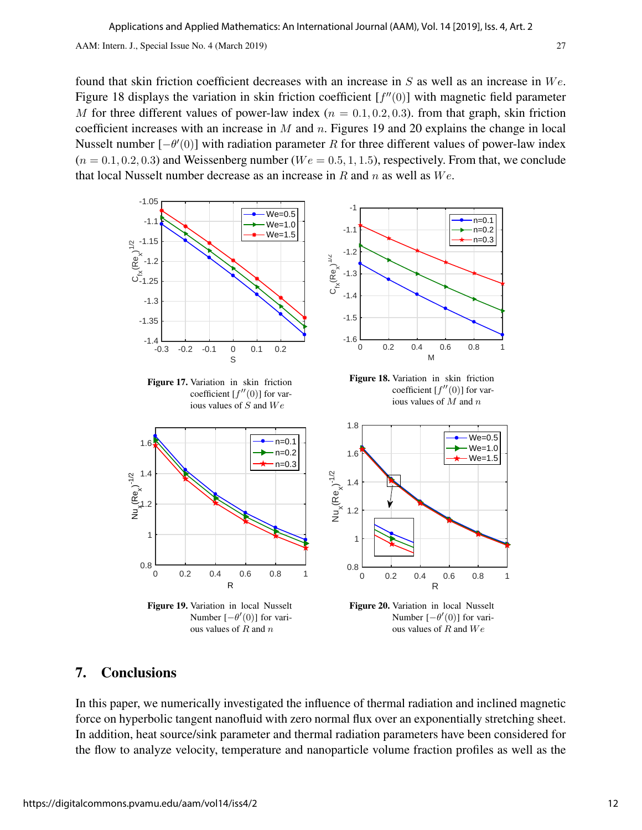found that skin friction coefficient decreases with an increase in  $S$  as well as an increase in  $We$ . Figure 18 displays the variation in skin friction coefficient  $[f''(0)]$  with magnetic field parameter M for three different values of power-law index ( $n = 0.1, 0.2, 0.3$ ). from that graph, skin friction coefficient increases with an increase in M and  $n$ . Figures 19 and 20 explains the change in local Nusselt number  $[-\theta'(0)]$  with radiation parameter R for three different values of power-law index  $(n = 0.1, 0.2, 0.3)$  and Weissenberg number  $(We = 0.5, 1, 1.5)$ , respectively. From that, we conclude that local Nusselt number decrease as an increase in R and n as well as  $We$ .





Figure 19. Variation in local Nusselt Number  $[-\theta'(0)]$  for various values of  $R$  and  $n$ 

Figure 18. Variation in skin friction coefficient  $[f''(0)]$  for various values of M and n

 $\cdot$ n=0.1 n=0.2 n=0.3



Figure 20. Variation in local Nusselt Number  $[-\theta'(0)]$  for various values of  $R$  and  $We$ 

## 7. Conclusions

In this paper, we numerically investigated the influence of thermal radiation and inclined magnetic force on hyperbolic tangent nanofluid with zero normal flux over an exponentially stretching sheet. In addition, heat source/sink parameter and thermal radiation parameters have been considered for the flow to analyze velocity, temperature and nanoparticle volume fraction profiles as well as the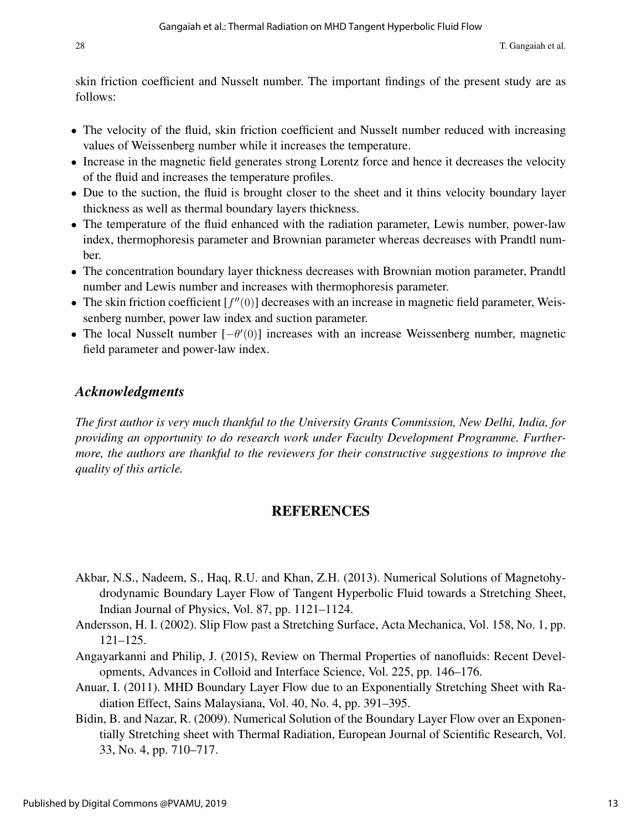skin friction coefficient and Nusselt number. The important findings of the present study are as follows:

- The velocity of the fluid, skin friction coefficient and Nusselt number reduced with increasing values of Weissenberg number while it increases the temperature.
- Increase in the magnetic field generates strong Lorentz force and hence it decreases the velocity of the fluid and increases the temperature profiles.
- Due to the suction, the fluid is brought closer to the sheet and it thins velocity boundary layer thickness as well as thermal boundary layers thickness.
- The temperature of the fluid enhanced with the radiation parameter, Lewis number, power-law index, thermophoresis parameter and Brownian parameter whereas decreases with Prandtl number.
- The concentration boundary layer thickness decreases with Brownian motion parameter, Prandtl number and Lewis number and increases with thermophoresis parameter.
- The skin friction coefficient  $[f''(0)]$  decreases with an increase in magnetic field parameter, Weissenberg number, power law index and suction parameter.
- The local Nusselt number  $[-\theta'(0)]$  increases with an increase Weissenberg number, magnetic field parameter and power-law index.

#### *Acknowledgments*

*The first author is very much thankful to the University Grants Commission, New Delhi, India, for providing an opportunity to do research work under Faculty Development Programme. Furthermore, the authors are thankful to the reviewers for their constructive suggestions to improve the quality of this article.*

#### REFERENCES

- Akbar, N.S., Nadeem, S., Haq, R.U. and Khan, Z.H. (2013). Numerical Solutions of Magnetohydrodynamic Boundary Layer Flow of Tangent Hyperbolic Fluid towards a Stretching Sheet, Indian Journal of Physics, Vol. 87, pp. 1121–1124.
- Andersson, H. I. (2002). Slip Flow past a Stretching Surface, Acta Mechanica, Vol. 158, No. 1, pp. 121–125.
- Angayarkanni and Philip, J. (2015), Review on Thermal Properties of nanofluids: Recent Developments, Advances in Colloid and Interface Science, Vol. 225, pp. 146–176.
- Anuar, I. (2011). MHD Boundary Layer Flow due to an Exponentially Stretching Sheet with Radiation Effect, Sains Malaysiana, Vol. 40, No. 4, pp. 391–395.
- Bidin, B. and Nazar, R. (2009). Numerical Solution of the Boundary Layer Flow over an Exponentially Stretching sheet with Thermal Radiation, European Journal of Scientific Research, Vol. 33, No. 4, pp. 710–717.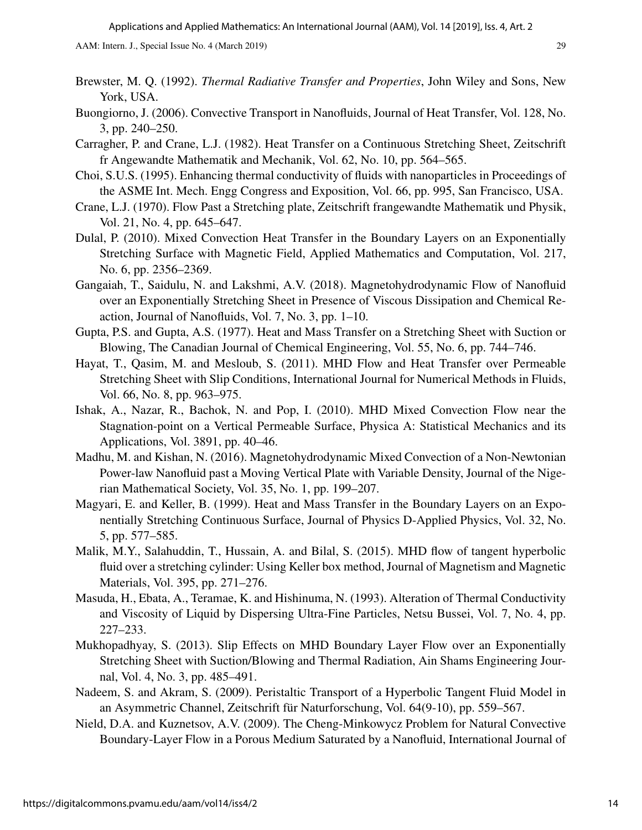- Brewster, M. Q. (1992). *Thermal Radiative Transfer and Properties*, John Wiley and Sons, New York, USA.
- Buongiorno, J. (2006). Convective Transport in Nanofluids, Journal of Heat Transfer, Vol. 128, No. 3, pp. 240–250.
- Carragher, P. and Crane, L.J. (1982). Heat Transfer on a Continuous Stretching Sheet, Zeitschrift fr Angewandte Mathematik and Mechanik, Vol. 62, No. 10, pp. 564–565.
- Choi, S.U.S. (1995). Enhancing thermal conductivity of fluids with nanoparticles in Proceedings of the ASME Int. Mech. Engg Congress and Exposition, Vol. 66, pp. 995, San Francisco, USA.
- Crane, L.J. (1970). Flow Past a Stretching plate, Zeitschrift frangewandte Mathematik und Physik, Vol. 21, No. 4, pp. 645–647.
- Dulal, P. (2010). Mixed Convection Heat Transfer in the Boundary Layers on an Exponentially Stretching Surface with Magnetic Field, Applied Mathematics and Computation, Vol. 217, No. 6, pp. 2356–2369.
- Gangaiah, T., Saidulu, N. and Lakshmi, A.V. (2018). Magnetohydrodynamic Flow of Nanofluid over an Exponentially Stretching Sheet in Presence of Viscous Dissipation and Chemical Reaction, Journal of Nanofluids, Vol. 7, No. 3, pp. 1–10.
- Gupta, P.S. and Gupta, A.S. (1977). Heat and Mass Transfer on a Stretching Sheet with Suction or Blowing, The Canadian Journal of Chemical Engineering, Vol. 55, No. 6, pp. 744–746.
- Hayat, T., Qasim, M. and Mesloub, S. (2011). MHD Flow and Heat Transfer over Permeable Stretching Sheet with Slip Conditions, International Journal for Numerical Methods in Fluids, Vol. 66, No. 8, pp. 963–975.
- Ishak, A., Nazar, R., Bachok, N. and Pop, I. (2010). MHD Mixed Convection Flow near the Stagnation-point on a Vertical Permeable Surface, Physica A: Statistical Mechanics and its Applications, Vol. 3891, pp. 40–46.
- Madhu, M. and Kishan, N. (2016). Magnetohydrodynamic Mixed Convection of a Non-Newtonian Power-law Nanofluid past a Moving Vertical Plate with Variable Density, Journal of the Nigerian Mathematical Society, Vol. 35, No. 1, pp. 199–207.
- Magyari, E. and Keller, B. (1999). Heat and Mass Transfer in the Boundary Layers on an Exponentially Stretching Continuous Surface, Journal of Physics D-Applied Physics, Vol. 32, No. 5, pp. 577–585.
- Malik, M.Y., Salahuddin, T., Hussain, A. and Bilal, S. (2015). MHD flow of tangent hyperbolic fluid over a stretching cylinder: Using Keller box method, Journal of Magnetism and Magnetic Materials, Vol. 395, pp. 271–276.
- Masuda, H., Ebata, A., Teramae, K. and Hishinuma, N. (1993). Alteration of Thermal Conductivity and Viscosity of Liquid by Dispersing Ultra-Fine Particles, Netsu Bussei, Vol. 7, No. 4, pp. 227–233.
- Mukhopadhyay, S. (2013). Slip Effects on MHD Boundary Layer Flow over an Exponentially Stretching Sheet with Suction/Blowing and Thermal Radiation, Ain Shams Engineering Journal, Vol. 4, No. 3, pp. 485–491.
- Nadeem, S. and Akram, S. (2009). Peristaltic Transport of a Hyperbolic Tangent Fluid Model in an Asymmetric Channel, Zeitschrift für Naturforschung, Vol. 64(9-10), pp. 559–567.
- Nield, D.A. and Kuznetsov, A.V. (2009). The Cheng-Minkowycz Problem for Natural Convective Boundary-Layer Flow in a Porous Medium Saturated by a Nanofluid, International Journal of